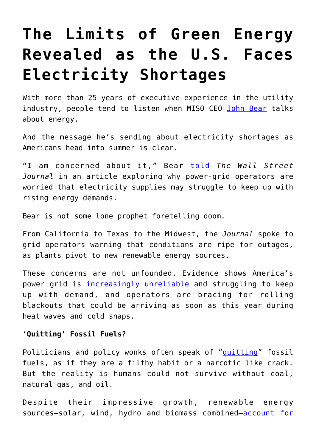## **[The Limits of Green Energy](https://intellectualtakeout.org/2022/05/the-limits-of-green-energy-revealed-as-the-u-s-faces-electricity-shortages/) [Revealed as the U.S. Faces](https://intellectualtakeout.org/2022/05/the-limits-of-green-energy-revealed-as-the-u-s-faces-electricity-shortages/) [Electricity Shortages](https://intellectualtakeout.org/2022/05/the-limits-of-green-energy-revealed-as-the-u-s-faces-electricity-shortages/)**

With more than 25 years of executive experience in the utility industry, people tend to listen when MISO CEO [John Bear](https://www.misoenergy.org/about/board-of-directors-and-leadership/leadership/john-r.-bear/#:~:text=Bear%2C%20Chief%20Executive%20Officer,leadership%20in%20the%20utility%20industry.) talks about energy.

And the message he's sending about electricity shortages as Americans head into summer is clear.

"I am concerned about it," Bear [told](https://www.wsj.com/articles/electricity-shortage-warnings-grow-across-u-s-11652002380?mod=hp_trending_now_article_pos1) *The Wall Street Journal* in an article exploring why power-grid operators are worried that electricity supplies may struggle to keep up with rising energy demands.

Bear is not some lone prophet foretelling doom.

From California to Texas to the Midwest, the *Journal* spoke to grid operators warning that conditions are ripe for outages, as plants pivot to new renewable energy sources.

These concerns are not unfounded. Evidence shows America's power grid is *[increasingly unreliable](https://www.wsj.com/articles/americas-power-grid-is-increasingly-unreliable-11645196772?mod=article_inline)* and struggling to keep up with demand, and operators are bracing for rolling blackouts that could be arriving as soon as this year during heat waves and cold snaps.

## **'Quitting' Fossil Fuels?**

Politicians and policy wonks often speak of "[quitting](https://www.brookings.edu/essay/why-are-fossil-fuels-so-hard-to-quit/)" fossil fuels, as if they are a filthy habit or a narcotic like crack. But the reality is humans could not survive without coal, natural gas, and oil.

Despite their impressive growth, renewable energy sources—solar, wind, hydro and biomass combined—[account for](https://www.eia.gov/tools/faqs/faq.php?id=427&t=3)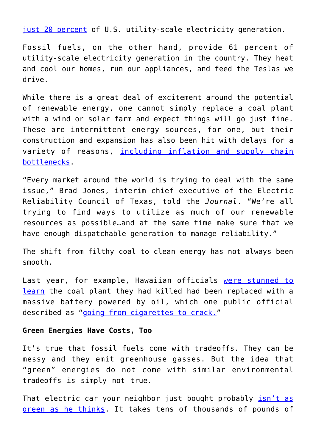[just 20 percent](https://www.eia.gov/tools/faqs/faq.php?id=427&t=3) of U.S. utility-scale electricity generation.

Fossil fuels, on the other hand, provide 61 percent of utility-scale electricity generation in the country. They heat and cool our homes, run our appliances, and feed the Teslas we drive.

While there is a great deal of excitement around the potential of renewable energy, one cannot simply replace a coal plant with a wind or solar farm and expect things will go just fine. These are intermittent energy sources, for one, but their construction and expansion has also been hit with delays for a variety of reasons, [including inflation and supply chain](https://www.wsj.com/articles/shanghai-lockdown-reignites-supply-chain-problems-for-u-s-companies-11651656601?mod=article_inline) [bottlenecks.](https://www.wsj.com/articles/shanghai-lockdown-reignites-supply-chain-problems-for-u-s-companies-11651656601?mod=article_inline)

"Every market around the world is trying to deal with the same issue," Brad Jones, interim chief executive of the Electric Reliability Council of Texas, told the *Journal*. "We're all trying to find ways to utilize as much of our renewable resources as possible…and at the same time make sure that we have enough dispatchable generation to manage reliability."

The shift from filthy coal to clean energy has not always been smooth.

Last year, for example, Hawaiian officials [were stunned to](https://fee.org/articles/hawaii-is-replacing-its-last-coal-plant-with-a-giant-battery-powered-by-oil/) [learn](https://fee.org/articles/hawaii-is-replacing-its-last-coal-plant-with-a-giant-battery-powered-by-oil/) the coal plant they had killed had been replaced with a massive battery powered by oil, which one public official described as ["going from cigarettes to crack.](https://www.utilitydive.com/news/cigarettes-to-crack-hawaii-regulators-blast-heco-fossil-fuel-transition-plan/596842/)"

## **Green Energies Have Costs, Too**

It's true that fossil fuels come with tradeoffs. They can be messy and they emit greenhouse gasses. But the idea that "green" energies do not come with similar environmental tradeoffs is simply not true.

That electric car your neighbor just bought probably [isn't as](https://fee.org/articles/electric-cars-aren-t-nearly-as-green-as-people-think/) [green as he thinks](https://fee.org/articles/electric-cars-aren-t-nearly-as-green-as-people-think/). It takes tens of thousands of pounds of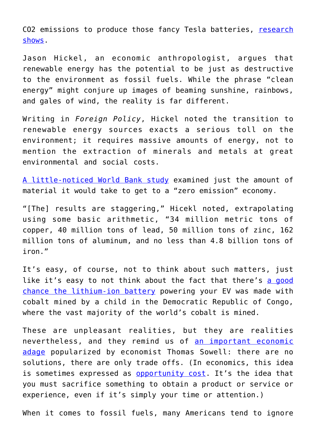CO2 emissions to produce those fancy Tesla batteries, [research](https://www.ifo.de/DocDL/sd-2019-08-sinn-karl-buchal-motoren-2019-04-25.pdf) [shows](https://www.ifo.de/DocDL/sd-2019-08-sinn-karl-buchal-motoren-2019-04-25.pdf).

Jason Hickel, an economic anthropologist, argues that renewable energy has the potential to be just as destructive to the environment as fossil fuels. While the phrase "clean energy" might conjure up images of beaming sunshine, rainbows, and gales of wind, the reality is far different.

Writing in *Foreign Policy*, Hickel noted the transition to renewable energy sources exacts a serious toll on the environment; it requires massive amounts of energy, not to mention the extraction of minerals and metals at great environmental and social costs.

[A little-noticed World Bank study](http://documents.worldbank.org/curated/en/207371500386458722/The-Growing-Role-of-Minerals-and-Metals-for-a-Low-Carbon-Future) examined just the amount of material it would take to get to a "zero emission" economy.

"[The] results are staggering," Hicekl noted, extrapolating using some basic arithmetic, "34 million metric tons of copper, 40 million tons of lead, 50 million tons of zinc, 162 million tons of aluminum, and no less than 4.8 billion tons of iron."

It's easy, of course, not to think about such matters, just like it's easy to not think about the fact that there's [a good](https://www.theguardian.com/environment/2021/jan/03/child-labour-toxic-leaks-the-price-we-could-pay-for-a-greener-future) [chance the lithium-ion battery](https://www.theguardian.com/environment/2021/jan/03/child-labour-toxic-leaks-the-price-we-could-pay-for-a-greener-future) powering your EV was made with cobalt mined by a child in the Democratic Republic of Congo, where the vast majority of the world's cobalt is mined.

These are unpleasant realities, but they are realities nevertheless, and they remind us of [an important economic](https://www.youtube.com/watch?v=3_EtIWmja-4) [adage](https://www.youtube.com/watch?v=3_EtIWmja-4) popularized by economist Thomas Sowell: there are no solutions, there are only trade offs. (In economics, this idea is sometimes expressed as [opportunity cost.](https://study.com/academy/lesson/trade-offs-in-economics-definition-examples.html#:~:text=Lesson%20Summary-,In%20economics%2C%20the%20term%20trade%2Doff%20is%20often%20expressed%20as,%2C%20money%20or%20energy)%20wisely.) It's the idea that you must sacrifice something to obtain a product or service or experience, even if it's simply your time or attention.)

When it comes to fossil fuels, many Americans tend to ignore